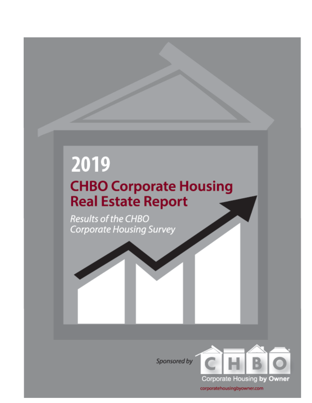# 2019 **CHBO Corporate Housing Real Estate Report**

Results of the CHBO **Corporate Housing Survey** 

Sponsored by

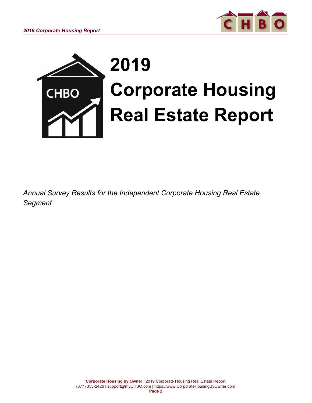



*Annual Survey Results for the Independent Corporate Housing Real Estate Segment*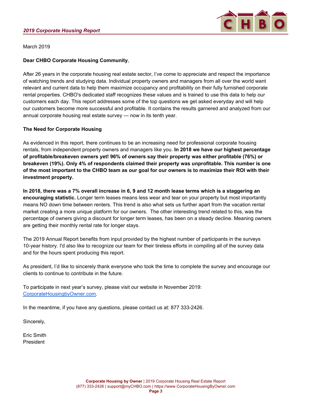

March 2019

### **Dear CHBO Corporate Housing Community**,

After 26 years in the corporate housing real estate sector, I've come to appreciate and respect the importance of watching trends and studying data. Individual property owners and managers from all over the world want relevant and current data to help them maximize occupancy and profitability on their fully furnished corporate rental properties. CHBO's dedicated staff recognizes these values and is trained to use this data to help our customers each day. This report addresses some of the top questions we get asked everyday and will help our customers become more successful and profitable. It contains the results garnered and analyzed from our annual corporate housing real estate survey — now in its tenth year.

### **The Need for Corporate Housing**

As evidenced in this report, there continues to be an increasing need for professional corporate housing rentals, from independent property owners and managers like you. **In 2018 we have our highest percentage of profitable/breakeven owners yet! 96% of owners say their property was either profitable (76%) or breakeven (19%). Only 4% of respondents claimed their property was unprofitable. This number is one** of the most important to the CHBO team as our goal for our owners is to maximize their ROI with their **investment property.**

In 2018, there was a 7% overall increase in 6, 9 and 12 month lease terms which is a staggering an **encouraging statistic.** Longer term leases means less wear and tear on your property but most importantly means NO down time between renters. This trend is also what sets us further apart from the vacation rental market creating a more unique platform for our owners. The other interesting trend related to this, was the percentage of owners giving a discount for longer term leases, has been on a steady decline. Meaning owners are getting their monthly rental rate for longer stays.

The 2019 Annual Report benefits from input provided by the highest number of participants in the surveys 10-year history. I'd also like to recognize our team for their tireless efforts in compiling all of the survey data and for the hours spent producing this report.

As president, I'd like to sincerely thank everyone who took the time to complete the survey and encourage our clients to continue to contribute in the future.

To participate in next year's survey, please visit our website in November 2019: [CorporateHousingbyOwner.com](https://www.corporatehousingbyowner.com/).

In the meantime, if you have any questions, please contact us at: 877 333-2426.

Sincerely,

Eric Smith President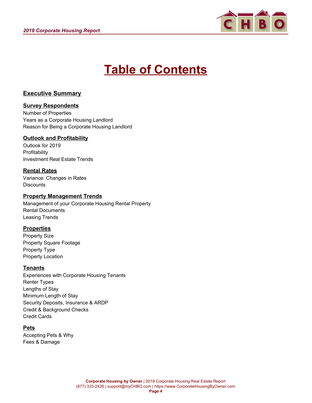

## **Table of Contents**

## **Executive Summary**

### **Survey Respondents**

Number of Properties Years as a Corporate Housing Landlord Reason for Being a Corporate Housing Landlord

### **Outlook and Profitability**

Outlook for 2019 **Profitability** Investment Real Estate Trends

### **Rental Rates**

Variance: Changes in Rates **Discounts** 

### **Property Management Trends**

Management of your Corporate Housing Rental Property Rental Documents Leasing Trends

### **Properties**

Property Size Property Square Footage Property Type Property Location

### **Tenants**

Experiences with Corporate Housing Tenants Renter Types Lengths of Stay Minimum Length of Stay Security Deposits, Insurance & ARDP Credit & Background Checks Credit Cards

### **Pets**

Accepting Pets & Why Fees & Damage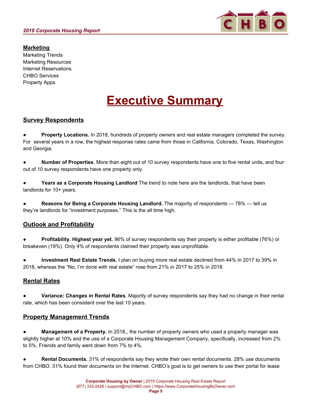

### **Marketing**

Marketing Trends Marketing Resources Internet Reservations CHBO Services Property Apps

## **Executive Summary**

### **Survey Respondents**

**Property Locations.** In 2018, hundreds of property owners and real estate managers completed the survey. For several years in a row, the highest response rates came from those in California, Colorado, Texas, Washington and Georgia.

● **Number of Properties**. More than eight out of 10 survey respondents have one to five rental units, and four out of 10 survey respondents have one property only.

● **Years as a Corporate Housing Landlord** The trend to note here are the landlords, that have been landlords for 10+ years.

● **Reasons for Being a Corporate Housing Landlord.** The majority of respondents — 78% — tell us they're landlords for "investment purposes." This is the all time high.

### **Outlook and Profitability**

● **Profitability. Highest year yet.** 96% of survey respondents say their property is either profitable (76%) or breakeven (19%). Only 4% of respondents claimed their property was unprofitable.

**● Investment Real Estate Trends.** I plan on buying more real estate declined from 44% in 2017 to 39% in 2018, whereas the "No, I'm done with real estate" rose from 21% in 2017 to 25% in 2018.

### **Rental Rates**

● **Variance: Changes in Rental Rates**. Majority of survey respondents say they had no change in their rental rate, which has been consistent over the last 10 years.

### **Property Management Trends**

**● Management of a Property.** In 2018,, the number of property owners who used a property manager was slightly higher at 10% and the use of a Corporate Housing Management Company, specifically, increased from 2% to 5%. Friends and family went down from 7% to 4%.

● **Rental Documents.** 31% of respondents say they wrote their own rental documents. 28% use documents from CHBO. 31% found their documents on the Internet. CHBO's goal is to get owners to use their portal for lease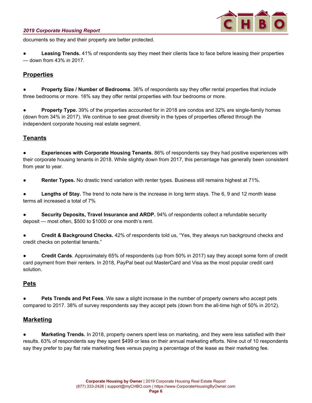

documents so they and their property are better protected.

Leasing Trends. 41% of respondents say they meet their clients face to face before leasing their properties — down from 43% in 2017.

### **Properties**

● **Property Size / Number of Bedrooms**. 36% of respondents say they offer rental properties that include three bedrooms or more. 16% say they offer rental properties with four bedrooms or more.

● **Property Type.** 39% of the properties accounted for in 2018 are condos and 32% are single-family homes (down from 34% in 2017). We continue to see great diversity in the types of properties offered through the independent corporate housing real estate segment.

### **Tenants**

**Experiences with Corporate Housing Tenants.** 86% of respondents say they had positive experiences with their corporate housing tenants in 2018. While slightly down from 2017, this percentage has generally been consistent from year to year.

● **Renter Types.** No drastic trend variation with renter types. Business still remains highest at 71%.

**Lengths of Stay.** The trend to note here is the increase in long term stays. The 6, 9 and 12 month lease terms all increased a total of 7%

**● Security Deposits, Travel Insurance and ARDP.** 94% of respondents collect a refundable security deposit — most often, \$500 to \$1000 or one month's rent.

● **Credit & Background Checks.** 42% of respondents told us, "Yes, they always run background checks and credit checks on potential tenants."

● **Credit Cards**. Approximately 65% of respondents (up from 50% in 2017) say they accept some form of credit card payment from their renters. In 2018, PayPal beat out MasterCard and Visa as the most popular credit card solution.

### **Pets**

**● Pets Trends and Pet Fees**. We saw a slight increase in the number of property owners who accept pets compared to 2017. 38% of survey respondents say they accept pets (down from the all-time high of 50% in 2012).

### **Marketing**

**Marketing Trends.** In 2018, property owners spent less on marketing, and they were less satisfied with their results. 63% of respondents say they spent \$499 or less on their annual marketing efforts. Nine out of 10 respondents say they prefer to pay flat rate marketing fees versus paying a percentage of the lease as their marketing fee.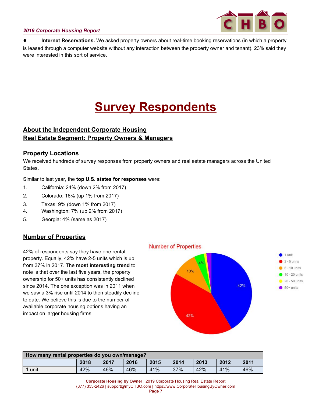

**Internet Reservations.** We asked property owners about real-time booking reservations (in which a property is leased through a computer website without any interaction between the property owner and tenant). 23% said they were interested in this sort of service.

## **Survey Respondents**

## **About the Independent Corporate Housing Real Estate Segment: Property Owners & Managers**

### **Property Locations**

We received hundreds of survey responses from property owners and real estate managers across the United States.

Similar to last year, the **top U.S. states for responses** were:

- 1. California: 24% (down 2% from 2017)
- 2. Colorado: 16% (up 1% from 2017)
- 3. Texas: 9% (down 1% from 2017)
- 4. Washington: 7% (up 2% from 2017)
- 5. Georgia: 4% (same as 2017)

## **Number of Properties**

42% of respondents say they have one rental property. Equally, 42% have 2-5 units which is up from 37% in 2017. The **most interesting trend** to note is that over the last five years, the property ownership for 50+ units has consistently declined since 2014. The one exception was in 2011 when we saw a 3% rise until 2014 to then steadily decline to date. We believe this is due to the number of available corporate housing options having an impact on larger housing firms.

### **Number of Properties**



| How many rental properties do you own/manage? |                                                              |     |     |     |     |     |     |     |  |  |  |
|-----------------------------------------------|--------------------------------------------------------------|-----|-----|-----|-----|-----|-----|-----|--|--|--|
|                                               | 2011<br>2018<br>2017<br>2016<br>2015<br>2013<br>2012<br>2014 |     |     |     |     |     |     |     |  |  |  |
| unit                                          | 42%                                                          | 46% | 46% | 41% | 37% | 42% | 41% | 46% |  |  |  |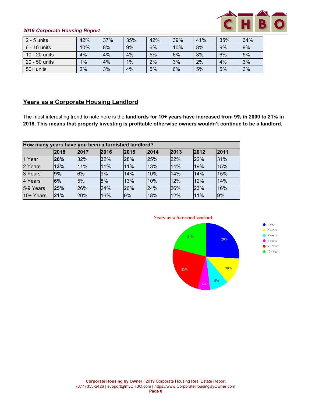

| 2 - 5 units   | 42% | 37% | 35%   | 42% | 39% | 41% | 35% | 34% |
|---------------|-----|-----|-------|-----|-----|-----|-----|-----|
| 6 - 10 units  | 10% | 8%  | 9%    | 6%  | 10% | 8%  | 9%  | 9%  |
| 10 - 20 units | 4%  | 4%  | 4%    | 5%  | 6%  | 3%  | 6%  | 5%  |
| 20 - 50 units | 1%  | 4%  | $1\%$ | 2%  | 3%  | 2%  | 4%  | 3%  |
| $50+$ units   | 2%  | 3%  | 4%    | 5%  | 6%  | 5%  | 5%  | 3%  |

## **Years as a Corporate Housing Landlord**

The most interesting trend to note here is the **landlords for 10+ years have increased from 9% in 2009 to 21% in 2018. This means that property investing is profitable otherwise owners wouldn't continue to be a landlord.**

|           | How many years have you been a furnished landlord? |      |      |      |      |      |      |      |  |  |  |  |  |
|-----------|----------------------------------------------------|------|------|------|------|------|------|------|--|--|--|--|--|
|           | 2018                                               | 2017 | 2016 | 2015 | 2014 | 2013 | 2012 | 2011 |  |  |  |  |  |
| 1 Year    | 26%                                                | 32%  | 32%  | 28%  | 25%  | 22%  | 22%  | 31%  |  |  |  |  |  |
| 2 Years   | 13%                                                | 11%  | 11%  | 11%  | 13%  | 14%  | 19%  | 15%  |  |  |  |  |  |
| 3 Years   | 9%                                                 | 6%   | 9%   | 14%  | 10%  | 14%  | 14%  | 15%  |  |  |  |  |  |
| 4 Years   | 6%                                                 | 5%   | 8%   | 13%  | 10%  | 12%  | 12%  | 14%  |  |  |  |  |  |
| 5-9 Years | 25%                                                | 26%  | 24%  | 26%  | 24%  | 26%  | 23%  | 16%  |  |  |  |  |  |
| 10+ Years | 21%                                                | 20%  | 16%  | 9%   | 18%  | 12%  | 11%  | 9%   |  |  |  |  |  |

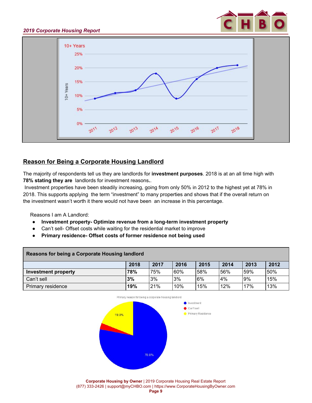



## **Reason for Being a Corporate Housing Landlord**

The majority of respondents tell us they are landlords for **investment purposes**. 2018 is at an all time high with **78% stating they are** landlords for investment reasons**.**.

Investment properties have been steadily increasing, going from only 50% in 2012 to the highest yet at 78% in 2018. This supports applying the term "investment" to many properties and shows that if the overall return on the investment wasn't worth it there would not have been an increase in this percentage.

Reasons I am A Landlord:

- **● Investment property- Optimize revenue from a long-term investment property**
- Can't sell- Offset costs while waiting for the residential market to improve
- **● Primary residence- Offset costs of former residence not being used**

| Reasons for being a Corporate Housing landlord |            |      |      |      |      |      |      |  |  |  |
|------------------------------------------------|------------|------|------|------|------|------|------|--|--|--|
|                                                | 2018       | 2017 | 2016 | 2015 | 2014 | 2013 | 2012 |  |  |  |
| <b>Investment property</b>                     | 78%        | 75%  | 60%  | 58%  | 56%  | 59%  | 50%  |  |  |  |
| Can't sell                                     | 3%         | 3%   | 3%   | 6%   | 4%   | 9%   | 15%  |  |  |  |
| Primary residence                              | <b>19%</b> | 21%  | 10%  | 15%  | 12%  | 17%  | 13%  |  |  |  |

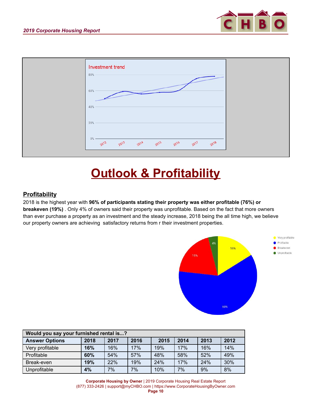



## **Outlook & Profitability**

## **Profitability**

2018 is the highest year with **96% of participants stating their property was either profitable (76%) or breakeven (19%)** . Only 4% of owners said their property was unprofitable. Based on the fact that more owners than ever purchase a property as an investment and the steady increase, 2018 being the all time high, we believe our property owners are achieving satisfactory returns from r their investment properties.



| Would you say your furnished rental is? |      |      |      |      |      |      |      |  |  |  |  |
|-----------------------------------------|------|------|------|------|------|------|------|--|--|--|--|
| <b>Answer Options</b>                   | 2018 | 2017 | 2016 | 2015 | 2014 | 2013 | 2012 |  |  |  |  |
| Very profitable                         | 16%  | 16%  | 17%  | 19%  | 17%  | 16%  | 14%  |  |  |  |  |
| Profitable                              | 60%  | 54%  | 57%  | 48%  | 58%  | 52%  | 49%  |  |  |  |  |
| Break-even                              | 19%  | 22%  | 19%  | 24%  | 17%  | 24%  | 30%  |  |  |  |  |
| Unprofitable                            | 4%   | 7%   | 7%   | 10%  | 7%   | 9%   | 8%   |  |  |  |  |

**Corporate Housing by Owner** | 2019 Corporate Housing Real Estate Report (877) 333-2426 | [support@myCHBO.com](mailto:Support@myCHBO.com) | https://www.CorporateHousingByOwner.com **Page 10**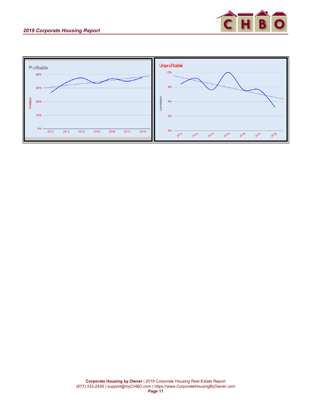

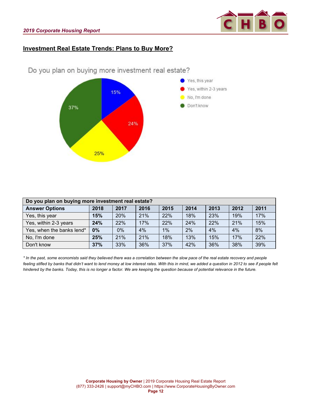

## **Investment Real Estate Trends: Plans to Buy More?**



Do you plan on buying more investment real estate?

| Do you plan on buying more investment real estate? |       |       |      |       |      |      |      |      |  |  |
|----------------------------------------------------|-------|-------|------|-------|------|------|------|------|--|--|
| <b>Answer Options</b>                              | 2018  | 2017  | 2016 | 2015  | 2014 | 2013 | 2012 | 2011 |  |  |
| Yes, this year                                     | 15%   | 20%   | 21%  | 22%   | 18%  | 23%  | 19%  | 17%  |  |  |
| Yes, within 2-3 years                              | 24%   | 22%   | 17%  | 22%   | 24%  | 22%  | 21%  | 15%  |  |  |
| Yes, when the banks lend*                          | $0\%$ | $0\%$ | 4%   | $1\%$ | 2%   | 4%   | 4%   | 8%   |  |  |
| No, I'm done                                       | 25%   | 21%   | 21%  | 18%   | 13%  | 15%  | 17%  | 22%  |  |  |
| Don't know                                         | 37%   | 33%   | 36%  | 37%   | 42%  | 36%  | 38%  | 39%  |  |  |

\* In the past, some economists said they believed there was a correlation between the slow pace of the real estate recovery and people feeling stifled by banks that didn't want to lend money at low interest rates. With this in mind, we added a question in 2012 to see if people felt hindered by the banks. Today, this is no longer a factor. We are keeping the question because of potential relevance in the future.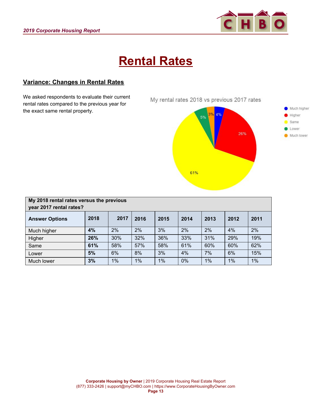

## **Rental Rates**

## **Variance: Changes in Rental Rates**

We asked respondents to evaluate their current rental rates compared to the previous year for the exact same rental property.

My rental rates 2018 vs previous 2017 rates



| My 2018 rental rates versus the previous<br>year 2017 rental rates? |      |      |      |      |      |      |      |      |  |  |  |
|---------------------------------------------------------------------|------|------|------|------|------|------|------|------|--|--|--|
| <b>Answer Options</b>                                               | 2018 | 2017 | 2016 | 2015 | 2014 | 2013 | 2012 | 2011 |  |  |  |
| Much higher                                                         | 4%   | 2%   | 2%   | 3%   | 2%   | 2%   | 4%   | 2%   |  |  |  |
| Higher                                                              | 26%  | 30%  | 32%  | 36%  | 33%  | 31%  | 29%  | 19%  |  |  |  |
| Same                                                                | 61%  | 58%  | 57%  | 58%  | 61%  | 60%  | 60%  | 62%  |  |  |  |
| Lower                                                               | 5%   | 6%   | 8%   | 3%   | 4%   | 7%   | 6%   | 15%  |  |  |  |
| Much lower                                                          | 3%   | 1%   | 1%   | 1%   | 0%   | 1%   | 1%   | 1%   |  |  |  |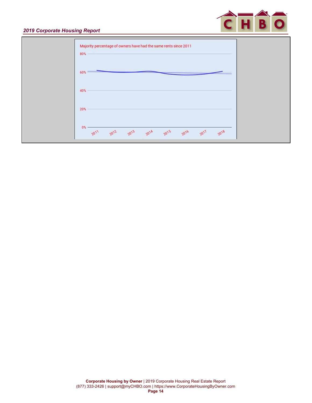

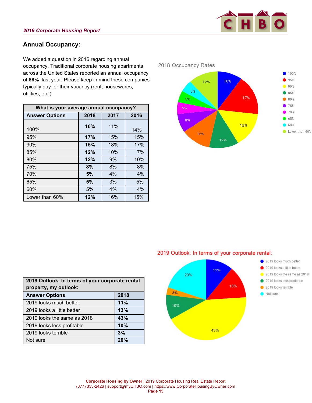

### **Annual Occupancy:**

We added a question in 2016 regarding annual occupancy. Traditional corporate housing apartments across the United States reported an annual occupancy of **88%** last year. Please keep in mind these companies typically pay for their vacancy (rent, housewares, utilities, etc.)

| What is your average annual occupancy? |      |      |      |
|----------------------------------------|------|------|------|
| <b>Answer Options</b>                  | 2018 | 2017 | 2016 |
| 100%                                   | 10%  | 11%  | 14%  |
| 95%                                    | 17%  | 15%  | 15%  |
| 90%                                    | 15%  | 18%  | 17%  |
| 85%                                    | 12%  | 10%  | 7%   |
| 80%                                    | 12%  | 9%   | 10%  |
| 75%                                    | 8%   | 8%   | 8%   |
| 70%                                    | 5%   | 4%   | 4%   |
| 65%                                    | 5%   | 3%   | 5%   |
| 60%                                    | 5%   | 4%   | 4%   |
| Lower than 60%                         | 12%  | 16%  | 15%  |

2018 Occupancy Rates



| 2019 Outlook: In terms of your corporate rental |      |  |  |  |  |  |  |  |
|-------------------------------------------------|------|--|--|--|--|--|--|--|
| property, my outlook:                           |      |  |  |  |  |  |  |  |
| <b>Answer Options</b>                           | 2018 |  |  |  |  |  |  |  |
| 2019 looks much better                          | 11%  |  |  |  |  |  |  |  |
| 2019 looks a little better                      | 13%  |  |  |  |  |  |  |  |
| 2019 looks the same as 2018                     | 43%  |  |  |  |  |  |  |  |
| 2019 looks less profitable                      | 10%  |  |  |  |  |  |  |  |
| 2019 looks terrible                             | 3%   |  |  |  |  |  |  |  |
| Not sure                                        | 20%  |  |  |  |  |  |  |  |

2019 Outlook: In terms of your corporate rental:

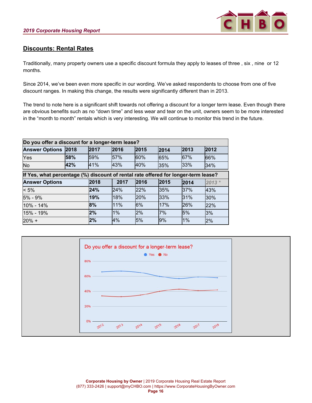

### **Discounts: Rental Rates**

Traditionally, many property owners use a specific discount formula they apply to leases of three , six , nine or 12 months.

Since 2014, we've been even more specific in our wording. We've asked respondents to choose from one of five discount ranges. In making this change, the results were significantly different than in 2013.

The trend to note here is a significant shift towards not offering a discount for a longer term lease. Even though there are obvious benefits such as no "down time" and less wear and tear on the unit, owners seem to be more interested in the "month to month" rentals which is very interesting. We will continue to monitor this trend in the future.

|                                                                                    | Do you offer a discount for a longer-term lease? |      |      |      |      |      |         |  |  |  |  |  |
|------------------------------------------------------------------------------------|--------------------------------------------------|------|------|------|------|------|---------|--|--|--|--|--|
| <b>Answer Options 2018</b>                                                         |                                                  | 2017 | 2016 | 2015 | 2014 | 2013 | 2012    |  |  |  |  |  |
| Yes                                                                                | 58%                                              | 59%  | 57%  | 60%  | 65%  | 67%  | 66%     |  |  |  |  |  |
| <b>No</b>                                                                          | 42%                                              | 41%  | 43%  | 40%  | 35%  | 33%  | 34%     |  |  |  |  |  |
| If Yes, what percentage (%) discount of rental rate offered for longer-term lease? |                                                  |      |      |      |      |      |         |  |  |  |  |  |
| <b>Answer Options</b>                                                              |                                                  | 2018 | 2017 | 2016 | 2015 | 2014 | $2013*$ |  |  |  |  |  |
| $< 5\%$                                                                            |                                                  | 24%  | 24%  | 22%  | 35%  | 37%  | 43%     |  |  |  |  |  |
| 5% - 9%                                                                            |                                                  | 19%  | 18%  | 20%  | 33%  | 31%  | 30%     |  |  |  |  |  |
| 10% - 14%                                                                          |                                                  | 8%   | 11%  | 6%   | 17%  | 26%  | 22%     |  |  |  |  |  |
| 15% - 19%                                                                          |                                                  | 2%   | 1%   | 2%   | 7%   | 5%   | 3%      |  |  |  |  |  |
| $20% +$                                                                            |                                                  | 2%   | 4%   | 5%   | 9%   | 1%   | 2%      |  |  |  |  |  |

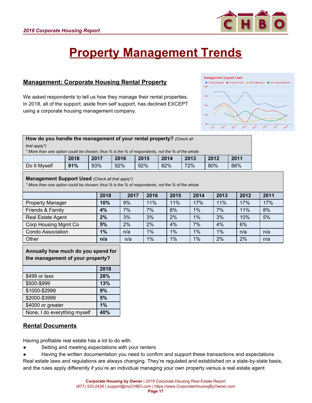

## **Property Management Trends**

## **Management: Corporate Housing Rental Property**

We asked respondents to tell us how they manage their rental properties. In 2018, all of the support, aside from self support, has declined EXCEPT using a corporate housing management company.



| How do you handle the management of your rental property? (Check all                           |                                                              |  |  |  |  |  |  |  |  |
|------------------------------------------------------------------------------------------------|--------------------------------------------------------------|--|--|--|--|--|--|--|--|
| that apply*)                                                                                   |                                                              |  |  |  |  |  |  |  |  |
| * More than one option could be chosen; thus % is the % of respondents, not the % of the whole |                                                              |  |  |  |  |  |  |  |  |
|                                                                                                | 2012<br>2011<br>2018<br>2016<br>2015<br>2014<br>2013<br>2017 |  |  |  |  |  |  |  |  |
| Do It Myself                                                                                   | 80%<br>91%<br>82%<br>72%<br>86%<br>93%<br>92%<br>92%         |  |  |  |  |  |  |  |  |
| --                                                                                             |                                                              |  |  |  |  |  |  |  |  |

#### **Management Support Used** *(Check all that apply\*)*

\* More than one option could be chosen; thus % is the % of respondents, not the % of the whole

|                         | 2018 | 2017 | 2016  | 2015 | 2014 | 2013  | 2012 | 2011 |
|-------------------------|------|------|-------|------|------|-------|------|------|
| <b>Property Manager</b> | 10%  | 9%   | 11%   | 11%  | 17%  | 11%   | 17%  | 17%  |
| Friends & Family        | 4%   | 7%   | 7%    | 8%   | 1%   | 7%    | 11%  | 8%   |
| Real Estate Agent       | 2%   | 3%   | 3%    | 2%   | 1%   | 3%    | 10%  | 5%   |
| Corp Housing Mgmt Co    | 5%   | 2%   | 2%    | 4%   | 7%   | 4%    | 6%   |      |
| Condo Association       | 1%   | n/a  | $1\%$ | 1%   | 1%   | $1\%$ | n/a  | n/a  |
| Other                   | n/a  | n/a  | 1%    | 1%   | 1%   | 2%    | 2%   | n/a  |

| Annually how much do you spend for |
|------------------------------------|
| the management of your property?   |

|                              | 2018 |
|------------------------------|------|
| \$499 or less                | 28%  |
| \$500-\$999                  | 13%  |
| \$1000-\$2999                | 9%   |
| \$2000-\$3999                | 5%   |
| \$4000 or greater            | 1%   |
| None, I do everything myself | 40%  |

### **Rental Documents**

Having profitable real estate has a lot to do with:

- Setting and meeting expectations with your renters
- Having the written documentation you need to confirm and support these transactions and expectations

Real estate laws and regulations are always changing. They're regulated and established on a state-by-state basis, and the rules apply differently if you're an individual managing your own property versus a real estate agent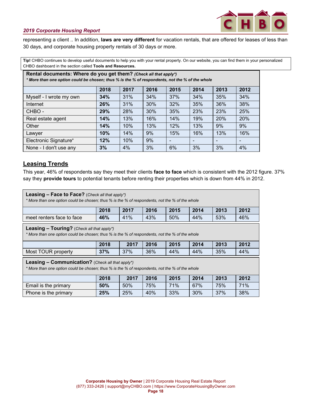

representing a client .. In addition, **laws are very different** for vacation rentals, that are offered for leases of less than 30 days, and corporate housing property rentals of 30 days or more.

**Tip!** CHBO continues to develop useful documents to help you with your rental property. On our website, you can find them in your personalized CHBO dashboard in the section called **Tools and Resources.**

|                         | Rental documents: Where do you get them? (Check all that apply*)<br>* More than one option could be chosen; thus % is the % of respondents, not the % of the whole |      |      |      |      |      |      |  |  |  |  |  |
|-------------------------|--------------------------------------------------------------------------------------------------------------------------------------------------------------------|------|------|------|------|------|------|--|--|--|--|--|
|                         | 2018                                                                                                                                                               | 2017 | 2016 | 2015 | 2014 | 2013 | 2012 |  |  |  |  |  |
| Myself - I wrote my own | 34%                                                                                                                                                                | 31%  | 34%  | 37%  | 34%  | 35%  | 34%  |  |  |  |  |  |
| Internet                | 26%                                                                                                                                                                | 31%  | 30%  | 32%  | 35%  | 36%  | 38%  |  |  |  |  |  |
| CHBO-                   | 29%                                                                                                                                                                | 28%  | 30%  | 35%  | 23%  | 23%  | 25%  |  |  |  |  |  |
| Real estate agent       | 14%                                                                                                                                                                | 13%  | 16%  | 14%  | 19%  | 20%  | 20%  |  |  |  |  |  |
| Other                   | 14%                                                                                                                                                                | 10%  | 13%  | 12%  | 13%  | 9%   | 9%   |  |  |  |  |  |
| Lawyer                  | 10%                                                                                                                                                                | 14%  | 9%   | 15%  | 16%  | 13%  | 16%  |  |  |  |  |  |
| Electronic Signature*   | 12%                                                                                                                                                                | 10%  | 9%   |      |      |      |      |  |  |  |  |  |
| None - I don't use any  | 3%                                                                                                                                                                 | 4%   | 3%   | 6%   | 3%   | 3%   | 4%   |  |  |  |  |  |

### **Leasing Trends**

This year, 46% of respondents say they meet their clients **face to face** which is consistent with the 2012 figure. 37% say they **provide tours** to potential tenants before renting their properties which is down from 44% in 2012.

| Leasing - Face to Face? (Check all that apply*)<br>* More than one option could be chosen; thus % is the % of respondents, not the % of the whole   |      |            |      |      |      |      |      |  |  |  |  |
|-----------------------------------------------------------------------------------------------------------------------------------------------------|------|------------|------|------|------|------|------|--|--|--|--|
|                                                                                                                                                     | 2018 | 2017       | 2016 | 2015 | 2014 | 2013 | 2012 |  |  |  |  |
| meet renters face to face                                                                                                                           | 46%  | 41%        | 43%  | 50%  | 44%  | 53%  | 46%  |  |  |  |  |
| <b>Leasing – Touring?</b> (Check all that apply*)<br>* More than one option could be chosen; thus % is the % of respondents, not the % of the whole |      |            |      |      |      |      |      |  |  |  |  |
|                                                                                                                                                     | 2018 | 2017       | 2016 | 2015 | 2014 | 2013 | 2012 |  |  |  |  |
| Most TOUR property                                                                                                                                  | 37%  | 37%        | 36%  | 44%  | 44%  | 35%  | 44%  |  |  |  |  |
| Leasing - Communication? (Check all that apply*)<br>* More than one option could be chosen; thus % is the % of respondents, not the % of the whole  |      |            |      |      |      |      |      |  |  |  |  |
|                                                                                                                                                     | 2018 | 2017       | 2016 | 2015 | 2014 | 2013 | 2012 |  |  |  |  |
| Email is the primary                                                                                                                                | 50%  | 50%        | 75%  | 71%  | 67%  | 75%  | 71%  |  |  |  |  |
| Phone is the primary                                                                                                                                | 25%  | <b>25%</b> | 40%  | 33%  | 30%  | 37%  | 38%  |  |  |  |  |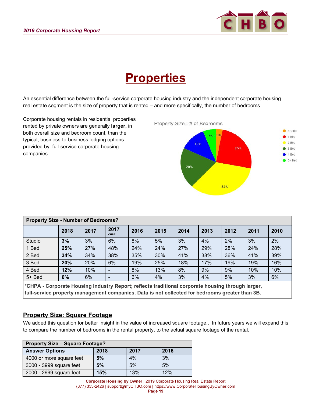

## **Properties**

An essential difference between the full-service corporate housing industry and the independent corporate housing real estate segment is the size of property that is rented – and more specifically, the number of bedrooms.

Corporate housing rentals in residential properties rented by private owners are generally **larger,** in both overall size and bedroom count, than the typical, business-to-business lodging options provided by full-service corporate housing companies.





| <b>Property Size - Number of Bedrooms?</b>                                                                                                                                                           |      |      |               |      |      |      |      |      |      |      |  |
|------------------------------------------------------------------------------------------------------------------------------------------------------------------------------------------------------|------|------|---------------|------|------|------|------|------|------|------|--|
|                                                                                                                                                                                                      | 2018 | 2017 | 2017<br>CHPA* | 2016 | 2015 | 2014 | 2013 | 2012 | 2011 | 2010 |  |
| Studio                                                                                                                                                                                               | 3%   | 3%   | 6%            | 8%   | 5%   | 3%   | 4%   | 2%   | 3%   | 2%   |  |
| 1 Bed                                                                                                                                                                                                | 25%  | 27%  | 48%           | 24%  | 24%  | 27%  | 29%  | 28%  | 24%  | 28%  |  |
| 2 Bed                                                                                                                                                                                                | 34%  | 34%  | 38%           | 35%  | 30%  | 41%  | 38%  | 36%  | 41%  | 39%  |  |
| 3 Bed                                                                                                                                                                                                | 20%  | 20%  | 6%            | 19%  | 25%  | 18%  | 17%  | 19%  | 19%  | 16%  |  |
| 4 Bed                                                                                                                                                                                                | 12%  | 10%  |               | 8%   | 13%  | 8%   | 9%   | 9%   | 10%  | 10%  |  |
| $5+$ Bed                                                                                                                                                                                             | 6%   | 6%   | $\,$          | 6%   | 4%   | 3%   | 4%   | 5%   | 3%   | 6%   |  |
| *CHPA - Corporate Housing Industry Report; reflects traditional corporate housing through larger,<br>full-service property management companies. Data is not collected for bedrooms greater than 3B. |      |      |               |      |      |      |      |      |      |      |  |

### **Property Size: Square Footage**

We added this question for better insight in the value of increased square footage.. In future years we will expand this to compare the number of bedrooms in the rental property, to the actual square footage of the rental.

| <b>Property Size - Square Footage?</b> |      |      |      |  |  |  |  |  |  |
|----------------------------------------|------|------|------|--|--|--|--|--|--|
| <b>Answer Options</b>                  | 2018 | 2017 | 2016 |  |  |  |  |  |  |
| 4000 or more square feet               | 5%   | 4%   | 3%   |  |  |  |  |  |  |
| 3000 - 3999 square feet                | 5%   | 5%   | 5%   |  |  |  |  |  |  |
| 2000 - 2999 square feet                | 15%  | 13%  | 12%  |  |  |  |  |  |  |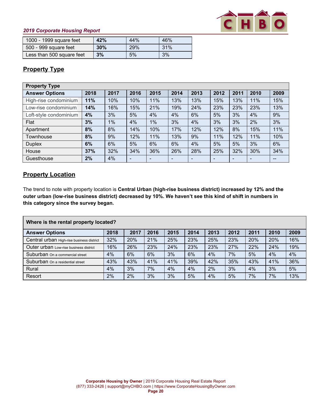

| 1000 - 1999 square feet   | 42% | 44% | 46% |
|---------------------------|-----|-----|-----|
| 500 - 999 square feet     | 30% | 29% | 31% |
| Less than 500 square feet | 3%  | 5%  | 3%  |

## **Property Type**

| <b>Property Type</b>   |      |      |                          |      |      |                          |      |      |      |      |
|------------------------|------|------|--------------------------|------|------|--------------------------|------|------|------|------|
| <b>Answer Options</b>  | 2018 | 2017 | 2016                     | 2015 | 2014 | 2013                     | 2012 | 2011 | 2010 | 2009 |
| High-rise condominium  | 11%  | 10%  | 10%                      | 11%  | 13%  | 13%                      | 15%  | 13%  | 11%  | 15%  |
| Low-rise condominium   | 14%  | 16%  | 15%                      | 21%  | 19%  | 24%                      | 23%  | 23%  | 23%  | 13%  |
| Loft-style condominium | 4%   | 3%   | 5%                       | 4%   | 4%   | 6%                       | 5%   | 3%   | 4%   | 9%   |
| Flat                   | 3%   | 1%   | 4%                       | 1%   | 3%   | 4%                       | 3%   | 3%   | 2%   | 3%   |
| Apartment              | 8%   | 8%   | 14%                      | 10%  | 17%  | 12%                      | 12%  | 8%   | 15%  | 11%  |
| Townhouse              | 8%   | 9%   | 12%                      | 11%  | 13%  | 9%                       | 11%  | 12%  | 11%  | 10%  |
| <b>Duplex</b>          | 6%   | 6%   | 5%                       | 6%   | 6%   | 4%                       | 5%   | 5%   | 3%   | 6%   |
| House                  | 37%  | 32%  | 34%                      | 36%  | 26%  | 28%                      | 25%  | 32%  | 30%  | 34%  |
| Guesthouse             | 2%   | 4%   | $\overline{\phantom{a}}$ |      |      | $\overline{\phantom{0}}$ |      |      |      |      |

### **Property Location**

The trend to note with property location is **Central Urban (high-rise business district) increased by 12% and the** outer urban (low-rise business district) decreased by 10%. We haven't see this kind of shift in numbers in **this category since the survey began.**

| Where is the rental property located?     |      |      |      |      |      |      |      |      |      |      |
|-------------------------------------------|------|------|------|------|------|------|------|------|------|------|
| <b>Answer Options</b>                     | 2018 | 2017 | 2016 | 2015 | 2014 | 2013 | 2012 | 2011 | 2010 | 2009 |
| Central urban High-rise business district | 32%  | 20%  | 21%  | 25%  | 23%  | 25%  | 23%  | 20%  | 20%  | 16%  |
| Outer urban Low-rise business district    | 16%  | 26%  | 23%  | 24%  | 23%  | 23%  | 27%  | 22%  | 24%  | 19%  |
| Suburban On a commercial street           | 4%   | 6%   | 6%   | 3%   | 6%   | 4%   | 7%   | 5%   | 4%   | 4%   |
| Suburban On a residential street          | 43%  | 43%  | 41%  | 41%  | 39%  | 42%  | 35%  | 43%  | 41%  | 36%  |
| Rural                                     | 4%   | 3%   | 7%   | 4%   | 4%   | 2%   | 3%   | 4%   | 3%   | 5%   |
| Resort                                    | 2%   | 2%   | 3%   | 3%   | 5%   | 4%   | 5%   | 7%   | 7%   | 13%  |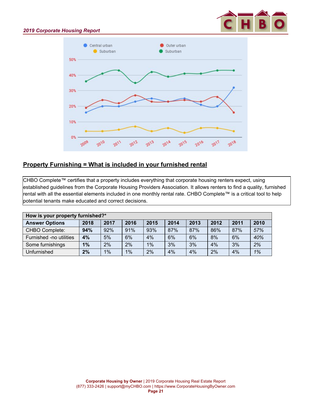



## **Property Furnishing = What is included in your furnished rental**

CHBO Complete™ certifies that a property includes everything that corporate housing renters expect, using established guidelines from the Corporate Housing Providers Association. It allows renters to find a quality, furnished rental with all the essential elements included in one monthly rental rate. CHBO Complete™ is a critical tool to help potential tenants make educated and correct decisions.

| How is your property furnished?* |      |      |      |      |      |      |      |      |      |  |  |
|----------------------------------|------|------|------|------|------|------|------|------|------|--|--|
| <b>Answer Options</b>            | 2018 | 2017 | 2016 | 2015 | 2014 | 2013 | 2012 | 2011 | 2010 |  |  |
| CHBO Complete:                   | 94%  | 92%  | 91%  | 93%  | 87%  | 87%  | 86%  | 87%  | 57%  |  |  |
| Furnished -no utilities          | 4%   | 5%   | 6%   | 4%   | 6%   | 6%   | 8%   | 6%   | 40%  |  |  |
| Some furnishings                 | 1%   | 2%   | 2%   | 1%   | 3%   | 3%   | 4%   | 3%   | 2%   |  |  |
| Unfurnished                      | 2%   | 1%   | 1%   | 2%   | 4%   | 4%   | 2%   | 4%   | 1%   |  |  |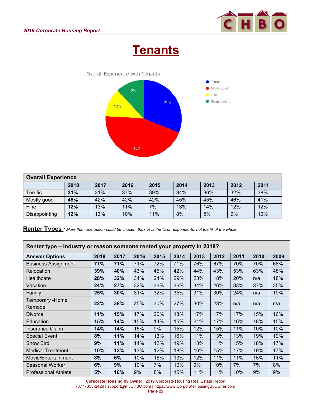

**Tenants**



| <b>Overall Experience</b> |      |      |      |      |      |      |      |      |  |  |
|---------------------------|------|------|------|------|------|------|------|------|--|--|
|                           | 2018 | 2017 | 2016 | 2015 | 2014 | 2013 | 2012 | 2011 |  |  |
| Terrific                  | 31%  | 31%  | 37%  | 39%  | 34%  | 36%  | 32%  | 38%  |  |  |
| Mostly good               | 45%  | 42%  | 42%  | 42%  | 45%  | 45%  | 46%  | 41%  |  |  |
| Fine                      | 12%  | 13%  | 11%  | 7%   | 13%  | 14%  | 12%  | 12%  |  |  |
| Disappointing             | 12%  | 13%  | 10%  | 11%  | 8%   | 5%   | 9%   | 10%  |  |  |

Renter Types \* More than one option could be chosen; thus % is the % of respondents, not the % of the whole

| Renter type – Industry or reason someone rented your property in 2018? |      |      |      |      |      |      |      |      |      |      |  |
|------------------------------------------------------------------------|------|------|------|------|------|------|------|------|------|------|--|
| <b>Answer Options</b>                                                  | 2018 | 2017 | 2016 | 2015 | 2014 | 2013 | 2012 | 2011 | 2010 | 2009 |  |
| <b>Business Assignment</b>                                             | 71%  | 71%  | 71%  | 72%  | 71%  | 76%  | 67%  | 70%  | 70%  | 68%  |  |
| Relocation                                                             | 39%  | 40%  | 43%  | 45%  | 42%  | 44%  | 43%  | 53%  | 63%  | 48%  |  |
| Healthcare                                                             | 28%  | 32%  | 34%  | 24%  | 29%  | 23%  | 18%  | 20%  | n/a  | 18%  |  |
| Vacation                                                               | 24%  | 27%  | 32%  | 36%  | 36%  | 34%  | 26%  | 33%  | 37%  | 35%  |  |
| Family                                                                 | 25%  | 30%  | 31%  | 32%  | 35%  | 31%  | 30%  | 24%  | n/a  | 19%  |  |
| Temporary - Home                                                       | 22%  | 38%  | 25%  | 30%  | 27%  | 30%  | 23%  | n/a  | n/a  | n/a  |  |
| Remodel                                                                |      |      |      |      |      |      |      |      |      |      |  |
| <b>Divorce</b>                                                         | 11%  | 15%  | 17%  | 20%  | 18%  | 17%  | 17%  | 17%  | 15%  | 16%  |  |
| Education                                                              | 15%  | 14%  | 15%  | 14%  | 15%  | 21%  | 17%  | 16%  | 18%  | 15%  |  |
| <b>Insurance Claim</b>                                                 | 14%  | 14%  | 15%  | 9%   | 15%  | 12%  | 15%  | 11%  | 10%  | 10%  |  |
| <b>Special Event</b>                                                   | 8%   | 11%  | 14%  | 13%  | 16%  | 11%  | 13%  | 13%  | 19%  | 19%  |  |
| <b>Snow Bird</b>                                                       | 9%   | 11%  | 14%  | 12%  | 19%  | 13%  | 11%  | 15%  | 18%  | 17%  |  |
| <b>Medical Treatment</b>                                               | 10%  | 13%  | 13%  | 12%  | 18%  | 16%  | 15%  | 17%  | 19%  | 17%  |  |
| Movie/Entertainment                                                    | 8%   | 6%   | 10%  | 15%  | 13%  | 12%  | 11%  | 11%  | 15%  | 11%  |  |
| Seasonal Worker                                                        | 6%   | 9%   | 10%  | 7%   | 10%  | 9%   | 10%  | 7%   | 7%   | 8%   |  |
| <b>Professional Athlete</b>                                            | 5%   | 10%  | 9%   | 8%   | 15%  | 11%  | 11%  | 10%  | 9%   | 9%   |  |

**Corporate Housing by Owner** | 2019 Corporate Housing Real Estate Report (877) 333-2426 | [support@myCHBO.com](mailto:Support@myCHBO.com) | https://www.CorporateHousingByOwner.com **Page 22**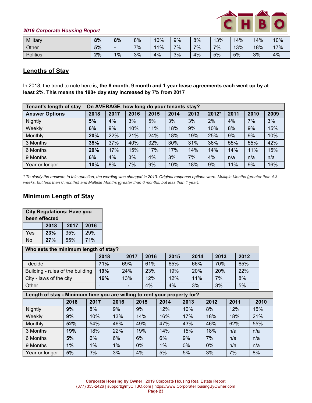

| Military | 8% | 8% | 8% | 10% | 9% | 8% | 13% | 14% | 14% | 10% |
|----------|----|----|----|-----|----|----|-----|-----|-----|-----|
| Other    | 5% |    | 7% | 11% | 7% | 7% | 7%  | 13% | 18% | 17% |
| Politics | 2% | 1% | 3% | 4%  | 3% | 4% | 5%  | 5%  | 3%  | 4%  |

## **Lengths of Stay**

In 2018, the trend to note here is, **the 6 month, 9 month and 1 year lease agreements each went up by at least 2%. This means the 180+ day stay increased by 7% from 2017**

| Tenant's length of stay - On AVERAGE, how long do your tenants stay? |      |      |      |      |      |      |       |      |      |      |
|----------------------------------------------------------------------|------|------|------|------|------|------|-------|------|------|------|
| <b>Answer Options</b>                                                | 2018 | 2017 | 2016 | 2015 | 2014 | 2013 | 2012* | 2011 | 2010 | 2009 |
| Nightly                                                              | 5%   | 4%   | 3%   | 5%   | 3%   | 3%   | 2%    | 4%   | 7%   | 3%   |
| Weekly                                                               | 6%   | 9%   | 10%  | 11%  | 18%  | 9%   | 10%   | 8%   | 9%   | 15%  |
| Monthly                                                              | 20%  | 22%  | 21%  | 24%  | 18%  | 19%  | 25%   | 9%   | 9%   | 10%  |
| 3 Months                                                             | 35%  | 37%  | 40%  | 32%  | 30%  | 31%  | 36%   | 55%  | 55%  | 42%  |
| 6 Months                                                             | 20%  | 17%  | 15%  | 17%  | 17%  | 14%  | 14%   | 14%  | 11%  | 15%  |
| 9 Months                                                             | 6%   | 4%   | 3%   | 4%   | 3%   | 7%   | 4%    | n/a  | n/a  | n/a  |
| Year or longer                                                       | 10%  | 8%   | 7%   | 9%   | 10%  | 18%  | 9%    | 11%  | 9%   | 16%  |

\* To clarify the answers to this question, the wording was changed in 2013. Original response options were: Multiple Months (greater than 4.3 *weeks, but less than 6 months) and Multiple Months (greater than 6 months, but less than 1 year).*

## **Minimum Length of Stay**

|                      |     | <b>City Regulations: Have you</b> |     |  |  |  |  |  |  |  |  |
|----------------------|-----|-----------------------------------|-----|--|--|--|--|--|--|--|--|
| been effected        |     |                                   |     |  |  |  |  |  |  |  |  |
| 2018<br>2017<br>2016 |     |                                   |     |  |  |  |  |  |  |  |  |
| Yes                  | 23% | 35%                               | 29% |  |  |  |  |  |  |  |  |
| N٥                   | 27% | 55%                               | 71% |  |  |  |  |  |  |  |  |

| Who sets the minimum length of stay?                                     |      |      |            |      |     |      |      |       |      |      |      |              |      |      |     |      |
|--------------------------------------------------------------------------|------|------|------------|------|-----|------|------|-------|------|------|------|--------------|------|------|-----|------|
|                                                                          |      | 2018 |            | 2017 |     | 2016 |      | 2015  |      | 2014 |      | 2013         |      | 2012 |     |      |
| I decide                                                                 |      | 71%  |            | 69%  |     | 61%  |      | 65%   |      | 66%  |      | 70%          | 65%  |      |     |      |
| Building - rules of the building                                         |      | 19%  |            | 24%  |     | 23%  |      | 19%   |      | 20%  |      | 20%          |      | 22%  |     |      |
| City - laws of the city                                                  |      |      | 16%<br>13% |      |     | 12%  |      | 12%   |      | 11%  |      | 7%           |      | 8%   |     |      |
| Other                                                                    |      | -    |            |      |     | 4%   |      | 4%    |      | 3%   |      | 3%           |      | 5%   |     |      |
| Length of stay - Minimum time you are willing to rent your property for? |      |      |            |      |     |      |      |       |      |      |      |              |      |      |     |      |
|                                                                          | 2018 | 2017 |            | 2016 |     | 2015 | 2014 |       | 2013 |      | 2012 |              | 2011 |      |     | 2010 |
| Nightly                                                                  | 9%   | 8%   | $9\%$      |      | 9%  |      | 12%  |       | 10%  |      |      | 8%           |      | 12%  | 15% |      |
| Weekly                                                                   | 9%   | 10%  | 13%        |      | 14% |      | 16%  |       | 17%  |      | 18%  |              | 18%  | 21%  |     |      |
| Monthly                                                                  | 52%  | 54%  | 46%        |      | 49% |      | 47%  |       | 43%  |      | 46%  |              | 62%  | 55%  |     |      |
| 3 Months                                                                 | 19%  | 18%  | 22%        |      | 19% |      | 14%  |       | 15%  |      | 18%  |              | n/a  |      | n/a |      |
| 6 Months                                                                 | 5%   | 6%   | 6%         |      | 6%  |      | 6%   |       |      | 9%   |      | 7%           |      | n/a  | n/a |      |
| 9 Months                                                                 | 1%   | 1%   | 1%         |      | 0%  | 1%   |      | $0\%$ |      |      |      | $0\%$<br>n/a |      |      | n/a |      |

Year or longer **5%** 3% 3% 4% 5% 5% 3% 7% 8%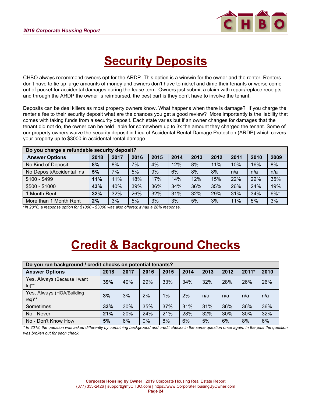

## **Security Deposits**

CHBO always recommend owners opt for the ARDP. This option is a win/win for the owner and the renter. Renters don't have to tie up large amounts of money and owners don't have to nickel and dime their tenants or worse come out of pocket for accidental damages during the lease term. Owners just submit a claim with repair/replace receipts and through the ARDP the owner is reimbursed, the best part is they don't have to involve the tenant.

Deposits can be deal killers as most property owners know. What happens when there is damage? If you charge the renter a fee to their security deposit what are the chances you get a good review? More importantly is the liability that comes with taking funds from a security deposit. Each state varies but if an owner changes for damages that the tenant did not do, the owner can be held liable for somewhere up to 3x the amount they charged the tenant. Some of our property owners waive the security deposit in Lieu of Accidental Rental Damage Protection (ARDP) which covers your property up to \$3000 in accidental rental damage.

| Do you charge a refundable security deposit? |      |      |      |      |      |      |      |      |      |         |
|----------------------------------------------|------|------|------|------|------|------|------|------|------|---------|
| <b>Answer Options</b>                        | 2018 | 2017 | 2016 | 2015 | 2014 | 2013 | 2012 | 2011 | 2010 | 2009    |
| No Kind of Deposit                           | 8%   | 8%   | 7%   | 4%   | 12%  | 8%   | 11%  | 10%  | 16%  | 8%      |
| No Deposit/Accidental Ins                    | 5%   | 7%   | 5%   | 9%   | 6%   | 8%   | 8%   | n/a  | n/a  | n/a     |
| $$100 - $499$                                | 11%  | 11%  | 18%  | 17%  | 14%  | 12%  | 15%  | 22%  | 22%  | 35%     |
| $$500 - $1000$                               | 43%  | 40%  | 39%  | 36%  | 34%  | 36%  | 35%  | 26%  | 24%  | 19%     |
| 1 Month Rent                                 | 32%  | 32%  | 26%  | 32%  | 31%  | 32%  | 29%  | 31%  | 34%  | $6\%$ * |
| More than 1 Month Rent                       | 2%   | 3%   | 5%   | 3%   | 3%   | 5%   | 3%   | 11%  | 5%   | 3%      |

\**In 2010, a response option for \$1000 - \$3000 was also offered; it had a 28% response.*

## **Credit & Background Checks**

| Do you run background / credit checks on potential tenants? |      |      |      |       |      |      |      |       |      |
|-------------------------------------------------------------|------|------|------|-------|------|------|------|-------|------|
| <b>Answer Options</b>                                       | 2018 | 2017 | 2016 | 2015  | 2014 | 2013 | 2012 | 2011* | 2010 |
| Yes, Always (Because I want<br>$to)^{**}$                   | 39%  | 40%  | 29%  | 33%   | 34%  | 32%  | 28%  | 26%   | 26%  |
| Yes, Always (HOA/Building<br>$req)$ **                      | 3%   | 3%   | 2%   | $1\%$ | 2%   | n/a  | n/a  | n/a   | n/a  |
| Sometimes                                                   | 33%  | 30%  | 35%  | 37%   | 31%  | 31%  | 36%  | 36%   | 36%  |
| No - Never                                                  | 21%  | 20%  | 24%  | 21%   | 28%  | 32%  | 30%  | 30%   | 32%  |
| No - Don't Know How                                         | 5%   | 6%   | 0%   | 8%    | 6%   | 5%   | 6%   | 8%    | 6%   |

\* In 2018, the question was asked differently by combining background and credit checks in the same question once again. In the past the question *was broken out for each check.*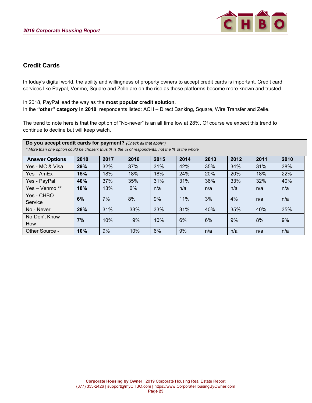

### **Credit Cards**

**I**n today's digital world, the ability and willingness of property owners to accept credit cards is important. Credit card services like Paypal, Venmo, Square and Zelle are on the rise as these platforms become more known and trusted.

In 2018, PayPal lead the way as the **most popular credit solution**.

In the **"other" category in 2018**, respondents listed: ACH – Direct Banking, Square, Wire Transfer and Zelle.

The trend to note here is that the option of "No-never" is an all time low at 28%. Of course we expect this trend to continue to decline but will keep watch.

| Do you accept credit cards for payment? (Check all that apply*)                                |      |      |      |      |      |      |      |      |      |  |  |
|------------------------------------------------------------------------------------------------|------|------|------|------|------|------|------|------|------|--|--|
| * More than one option could be chosen; thus % is the % of respondents, not the % of the whole |      |      |      |      |      |      |      |      |      |  |  |
| <b>Answer Options</b>                                                                          | 2018 | 2017 | 2016 | 2015 | 2014 | 2013 | 2012 | 2011 | 2010 |  |  |
| Yes - MC & Visa                                                                                | 29%  | 32%  | 37%  | 31%  | 42%  | 35%  | 34%  | 31%  | 38%  |  |  |
| Yes - AmEx                                                                                     | 15%  | 18%  | 18%  | 18%  | 24%  | 20%  | 20%  | 18%  | 22%  |  |  |
| Yes - PayPal                                                                                   | 40%  | 37%  | 35%  | 31%  | 31%  | 36%  | 33%  | 32%  | 40%  |  |  |
| Yes - Venmo **                                                                                 | 18%  | 13%  | 6%   | n/a  | n/a  | n/a  | n/a  | n/a  | n/a  |  |  |
| Yes - CHBO                                                                                     | 6%   | 7%   | 8%   | 9%   | 11%  | 3%   | 4%   | n/a  | n/a  |  |  |
| Service                                                                                        |      |      |      |      |      |      |      |      |      |  |  |
| No - Never                                                                                     | 28%  | 31%  | 33%  | 33%  | 31%  | 40%  | 35%  | 40%  | 35%  |  |  |
| No-Don't Know                                                                                  | 7%   | 10%  | 9%   | 10%  | 6%   | 6%   | 9%   | 8%   | 9%   |  |  |
| How                                                                                            |      |      |      |      |      |      |      |      |      |  |  |
| Other Source -                                                                                 | 10%  | 9%   | 10%  | 6%   | 9%   | n/a  | n/a  | n/a  | n/a  |  |  |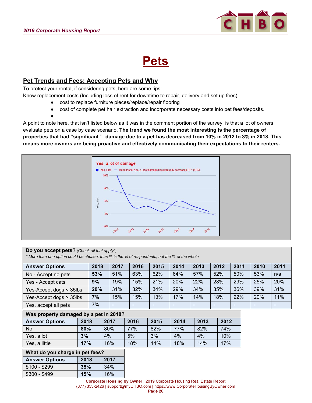

**Pets**

## **Pet Trends and Fees: Accepting Pets and Why**

To protect your rental, if considering pets, here are some tips:

Know replacement costs (Including loss of rent for downtime to repair, delivery and set up fees)

- cost to replace furniture pieces/replace/repair flooring
- cost of complete pet hair extraction and incorporate necessary costs into pet fees/deposits.
- ●

A point to note here, that isn't listed below as it was in the comment portion of the survey, is that a lot of owners evaluate pets on a case by case scenario. **The trend we found the most interesting is the percentage of** properties that had "significant" damage due to a pet has decreased from 10% in 2012 to 3% in 2018. This **means more owners are being proactive and effectively communicating their expectations to their renters.**



### **Do you accept pets?** *(Check all that apply\*)*

\* More than one option could be chosen; thus % is the % of respondents, not the % of the whole

| <b>Answer Options</b>   | 2018 | 2017 | 2016                     | 2015 | 2014 | 2013 | 2012 | 2011 | 2010                     | 2011 |
|-------------------------|------|------|--------------------------|------|------|------|------|------|--------------------------|------|
| No - Accept no pets     | 53%  | 51%  | 63%                      | 62%  | 64%  | 57%  | 52%  | 50%  | 53%                      | n/a  |
| Yes - Accept cats       | 9%   | 19%  | 15%                      | 21%  | 20%  | 22%  | 28%  | 29%  | 25%                      | 20%  |
| Yes-Accept dogs < 35lbs | 20%  | 31%  | 32%                      | 34%  | 29%  | 34%  | 35%  | 36%  | 39%                      | 31%  |
| Yes-Accept dogs > 35lbs | 7%   | 15%  | 15%                      | 13%  | 17%  | 14%  | 18%  | 22%  | 20%                      | 11%  |
| Yes, accept all pets    | 7%   | -    | $\overline{\phantom{a}}$ | $\,$ |      | -    |      |      | $\overline{\phantom{a}}$ |      |

| Was property damaged by a pet in 2018? |      |      |      |      |      |      |      |
|----------------------------------------|------|------|------|------|------|------|------|
| <b>Answer Options</b>                  | 2018 | 2017 | 2016 | 2015 | 2014 | 2013 | 2012 |
| No                                     | 80%  | 80%  | 77%  | 82%  | 77%  | 82%  | 74%  |
| Yes, a lot                             | 3%   | 4%   | 5%   | 3%   | 4%   | 4%   | 10%  |
| Yes, a little                          | 17%  | 16%  | 18%  | 14%  | 18%  | 14%  | 17%  |

| What do you charge in pet fees? |      |      |
|---------------------------------|------|------|
| <b>Answer Options</b>           | 2018 | 2017 |
| $$100 - $299$                   | 35%  | 34%  |
| $$300 - $499$                   | 15%  | 16%  |

**Corporate Housing by Owner** | 2019 Corporate Housing Real Estate Report

(877) 333-2426 | [support@myCHBO.com](mailto:Support@myCHBO.com) | https://www.CorporateHousingByOwner.com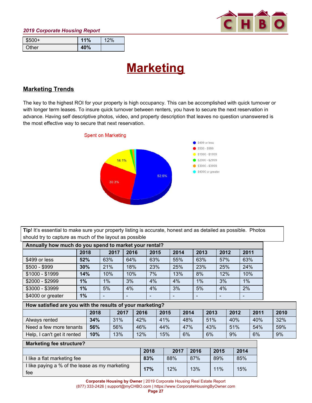

| \$500+ | 11% | 12% |
|--------|-----|-----|
| Other  | 40% |     |

## **Marketing**

## **Marketing Trends**

The key to the highest ROI for your property is high occupancy. This can be accomplished with quick turnover or with longer term leases. To insure quick turnover between renters, you have to secure the next reservation in advance. Having self descriptive photos, video, and property description that leaves no question unanswered is the most effective way to secure that next reservation.



**Tip**! It's essential to make sure your property listing is accurate, honest and as detailed as possible. Photos should try to capture as much of the layout as possible

| Annually how much do you spend to market your rental?     |      |      |                          |                          |      |      |      |      |      |      |       |      |      |      |                          |      |      |  |
|-----------------------------------------------------------|------|------|--------------------------|--------------------------|------|------|------|------|------|------|-------|------|------|------|--------------------------|------|------|--|
|                                                           | 2018 |      |                          | 2017                     | 2016 |      | 2015 |      | 2014 |      | 2013  |      | 2012 |      | 2011                     |      |      |  |
| \$499 or less                                             | 52%  |      | 63%                      |                          | 64%  |      | 63%  |      | 55%  |      | 63%   |      | 57%  |      | 63%                      |      |      |  |
| $$500 - $999$                                             | 30%  |      | 21%                      |                          | 18%  |      | 23%  |      | 25%  | 23%  |       |      | 25%  | 24%  |                          |      |      |  |
| $$1000 - $1999$                                           | 14%  |      | 10%                      |                          | 10%  |      | 7%   |      | 13%  |      | 8%    |      | 12%  |      | 10%                      |      |      |  |
| \$2000 - \$2999                                           | 1%   |      | 1%                       |                          | 3%   |      | 4%   |      | 4%   |      | $1\%$ |      | 3%   |      | $1\%$                    |      |      |  |
| \$3000 - \$3999                                           | 1%   |      | 5%                       |                          | 4%   |      | 4%   |      | 3%   |      | 5%    |      | 4%   |      | 2%                       |      |      |  |
| \$4000 or greater                                         | 1%   |      | $\overline{\phantom{0}}$ | $\overline{\phantom{0}}$ |      |      |      |      |      |      |       | -    |      |      | $\overline{\phantom{a}}$ |      |      |  |
| How satisfied are you with the results of your marketing? |      |      |                          |                          |      |      |      |      |      |      |       |      |      |      |                          |      |      |  |
|                                                           |      | 2018 |                          | 2017                     |      | 2016 |      | 2015 |      | 2014 |       | 2013 |      | 2012 |                          | 2011 | 2010 |  |
| Always rented                                             |      | 34%  |                          | 31%                      |      | 42%  |      | 41%  |      | 48%  |       | 51%  |      | 40%  |                          | 40%  | 32%  |  |
| Need a few more tenants                                   |      | 56%  |                          | 56%                      |      | 46%  |      | 44%  |      | 47%  |       | 43%  |      | 51%  |                          | 54%  | 59%  |  |
| Help, I can't get it rented                               |      | 10%  |                          | 13%                      |      | 12%  |      | 15%  | 6%   |      | 6%    |      |      | 9%   |                          | 6%   | 9%   |  |
| <b>Marketing fee structure?</b>                           |      |      |                          |                          |      |      |      |      |      |      |       |      |      |      |                          |      |      |  |
|                                                           |      |      |                          |                          |      | 2018 |      |      | 2017 | 2016 |       | 2015 |      | 2014 |                          |      |      |  |
| I like a flat marketing fee                               |      |      |                          |                          |      | 83%  |      | 88%  |      | 87%  |       | 89%  |      | 85%  |                          |      |      |  |

|                                                       | --  | --- | .   | --- | - - - - |
|-------------------------------------------------------|-----|-----|-----|-----|---------|
| I like paying a % of the lease as my marketing<br>fee | 17% | 12% | 13% | 11% | 15%     |
|                                                       |     |     |     |     |         |

**Corporate Housing by Owner** | 2019 Corporate Housing Real Estate Report

(877) 333-2426 | [support@myCHBO.com](mailto:Support@myCHBO.com) | https://www.CorporateHousingByOwner.com